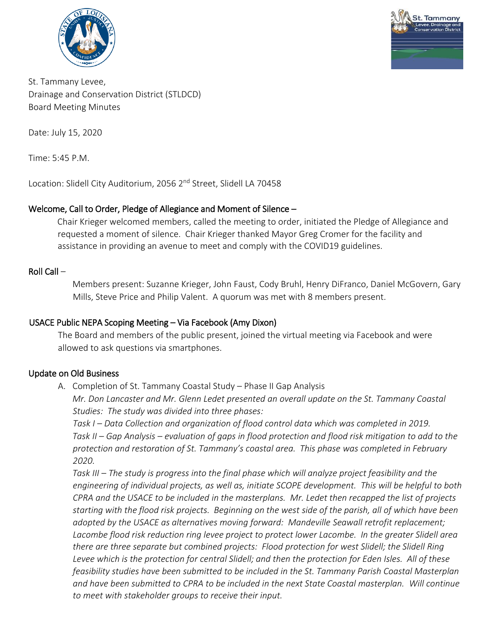



St. Tammany Levee, Drainage and Conservation District (STLDCD) Board Meeting Minutes

Date: July 15, 2020

Time: 5:45 P.M.

Location: Slidell City Auditorium, 2056 2<sup>nd</sup> Street, Slidell LA 70458

### Welcome, Call to Order, Pledge of Allegiance and Moment of Silence –

Chair Krieger welcomed members, called the meeting to order, initiated the Pledge of Allegiance and requested a moment of silence. Chair Krieger thanked Mayor Greg Cromer for the facility and assistance in providing an avenue to meet and comply with the COVID19 guidelines.

#### Roll Call –

Members present: Suzanne Krieger, John Faust, Cody Bruhl, Henry DiFranco, Daniel McGovern, Gary Mills, Steve Price and Philip Valent. A quorum was met with 8 members present.

### USACE Public NEPA Scoping Meeting – Via Facebook (Amy Dixon)

The Board and members of the public present, joined the virtual meeting via Facebook and were allowed to ask questions via smartphones.

### Update on Old Business

A. Completion of St. Tammany Coastal Study – Phase II Gap Analysis

*Mr. Don Lancaster and Mr. Glenn Ledet presented an overall update on the St. Tammany Coastal Studies: The study was divided into three phases:*

*Task I – Data Collection and organization of flood control data which was completed in 2019. Task II – Gap Analysis – evaluation of gaps in flood protection and flood risk mitigation to add to the protection and restoration of St. Tammany's coastal area. This phase was completed in February 2020.*

*Task III – The study is progress into the final phase which will analyze project feasibility and the engineering of individual projects, as well as, initiate SCOPE development. This will be helpful to both CPRA and the USACE to be included in the masterplans. Mr. Ledet then recapped the list of projects starting with the flood risk projects. Beginning on the west side of the parish, all of which have been adopted by the USACE as alternatives moving forward: Mandeville Seawall retrofit replacement; Lacombe flood risk reduction ring levee project to protect lower Lacombe. In the greater Slidell area there are three separate but combined projects: Flood protection for west Slidell; the Slidell Ring Levee which is the protection for central Slidell; and then the protection for Eden Isles. All of these feasibility studies have been submitted to be included in the St. Tammany Parish Coastal Masterplan and have been submitted to CPRA to be included in the next State Coastal masterplan. Will continue to meet with stakeholder groups to receive their input.*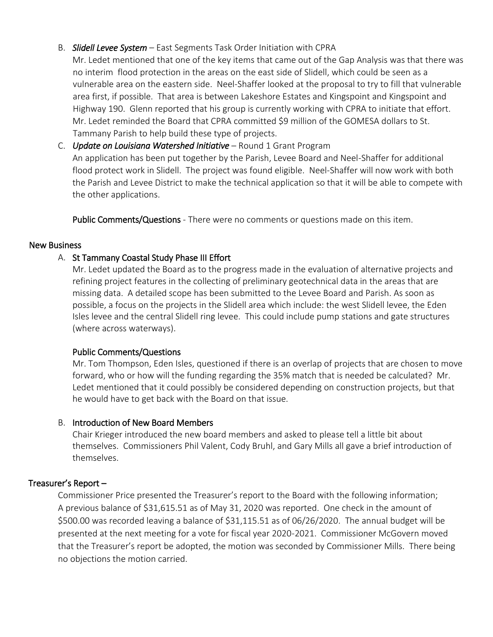## B. *Slidell Levee System* – East Segments Task Order Initiation with CPRA

Mr. Ledet mentioned that one of the key items that came out of the Gap Analysis was that there was no interim flood protection in the areas on the east side of Slidell, which could be seen as a vulnerable area on the eastern side. Neel-Shaffer looked at the proposal to try to fill that vulnerable area first, if possible. That area is between Lakeshore Estates and Kingspoint and Kingspoint and Highway 190. Glenn reported that his group is currently working with CPRA to initiate that effort. Mr. Ledet reminded the Board that CPRA committed \$9 million of the GOMESA dollars to St. Tammany Parish to help build these type of projects.

C. *Update on Louisiana Watershed Initiative* – Round 1 Grant Program An application has been put together by the Parish, Levee Board and Neel-Shaffer for additional flood protect work in Slidell. The project was found eligible. Neel-Shaffer will now work with both the Parish and Levee District to make the technical application so that it will be able to compete with the other applications.

Public Comments/Questions - There were no comments or questions made on this item.

### New Business

# A. St Tammany Coastal Study Phase III Effort

Mr. Ledet updated the Board as to the progress made in the evaluation of alternative projects and refining project features in the collecting of preliminary geotechnical data in the areas that are missing data. A detailed scope has been submitted to the Levee Board and Parish. As soon as possible, a focus on the projects in the Slidell area which include: the west Slidell levee, the Eden Isles levee and the central Slidell ring levee. This could include pump stations and gate structures (where across waterways).

### Public Comments/Questions

Mr. Tom Thompson, Eden Isles, questioned if there is an overlap of projects that are chosen to move forward, who or how will the funding regarding the 35% match that is needed be calculated? Mr. Ledet mentioned that it could possibly be considered depending on construction projects, but that he would have to get back with the Board on that issue.

### B. Introduction of New Board Members

Chair Krieger introduced the new board members and asked to please tell a little bit about themselves. Commissioners Phil Valent, Cody Bruhl, and Gary Mills all gave a brief introduction of themselves.

### Treasurer's Report –

Commissioner Price presented the Treasurer's report to the Board with the following information; A previous balance of \$31,615.51 as of May 31, 2020 was reported. One check in the amount of \$500.00 was recorded leaving a balance of \$31,115.51 as of 06/26/2020. The annual budget will be presented at the next meeting for a vote for fiscal year 2020-2021. Commissioner McGovern moved that the Treasurer's report be adopted, the motion was seconded by Commissioner Mills. There being no objections the motion carried.